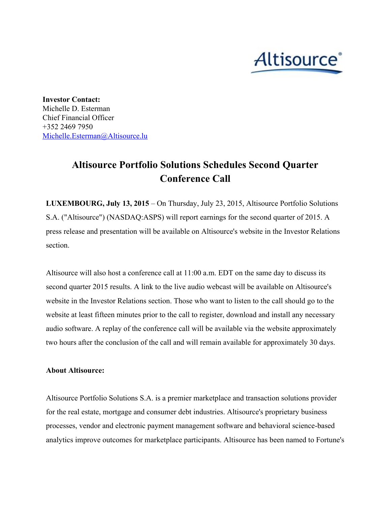

**Investor Contact:** Michelle D. Esterman Chief Financial Officer +352 2469 7950 [Michelle.Esterman@Altisource.lu](mailto:Michelle.Esterman@Altisource.lu)

## **Altisource Portfolio Solutions Schedules Second Quarter Conference Call**

**LUXEMBOURG, July 13, 2015**– On Thursday, July 23, 2015, Altisource Portfolio Solutions S.A. ("Altisource") (NASDAQ:ASPS) will report earnings for the second quarter of 2015. A press release and presentation will be available on Altisource's website in the Investor Relations section.

Altisource will also host a conference call at 11:00 a.m. EDT on the same day to discuss its second quarter 2015 results. A link to the live audio webcast will be available on Altisource's website in the Investor Relations section. Those who want to listen to the call should go to the website at least fifteen minutes prior to the call to register, download and install any necessary audio software. A replay of the conference call will be available via the website approximately two hours after the conclusion of the call and will remain available for approximately 30 days.

## **About Altisource:**

Altisource Portfolio Solutions S.A. is a premier marketplace and transaction solutions provider for the real estate, mortgage and consumer debt industries. Altisource's proprietary business processes, vendor and electronic payment management software and behavioral science-based analytics improve outcomes for marketplace participants. Altisource has been named to Fortune's